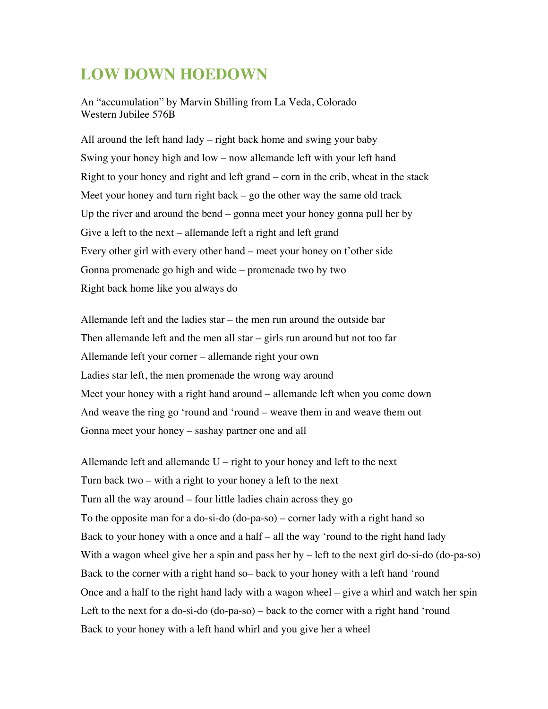## **LOW DOWN HOEDOWN**

An "accumulation" by Marvin Shilling from La Veda, Colorado Western Jubilee 576B

All around the left hand lady – right back home and swing your baby Swing your honey high and low – now allemande left with your left hand Right to your honey and right and left grand – corn in the crib, wheat in the stack Meet your honey and turn right back – go the other way the same old track Up the river and around the bend – gonna meet your honey gonna pull her by Give a left to the next – allemande left a right and left grand Every other girl with every other hand – meet your honey on t'other side Gonna promenade go high and wide – promenade two by two Right back home like you always do

Allemande left and the ladies star – the men run around the outside bar Then allemande left and the men all star – girls run around but not too far Allemande left your corner – allemande right your own Ladies star left, the men promenade the wrong way around Meet your honey with a right hand around – allemande left when you come down And weave the ring go 'round and 'round – weave them in and weave them out Gonna meet your honey – sashay partner one and all

Allemande left and allemande  $U$  – right to your honey and left to the next Turn back two – with a right to your honey a left to the next Turn all the way around – four little ladies chain across they go To the opposite man for a do-si-do (do-pa-so) – corner lady with a right hand so Back to your honey with a once and a half – all the way 'round to the right hand lady With a wagon wheel give her a spin and pass her by – left to the next girl do-si-do (do-pa-so) Back to the corner with a right hand so– back to your honey with a left hand 'round Once and a half to the right hand lady with a wagon wheel – give a whirl and watch her spin Left to the next for a do-si-do (do-pa-so) – back to the corner with a right hand 'round Back to your honey with a left hand whirl and you give her a wheel